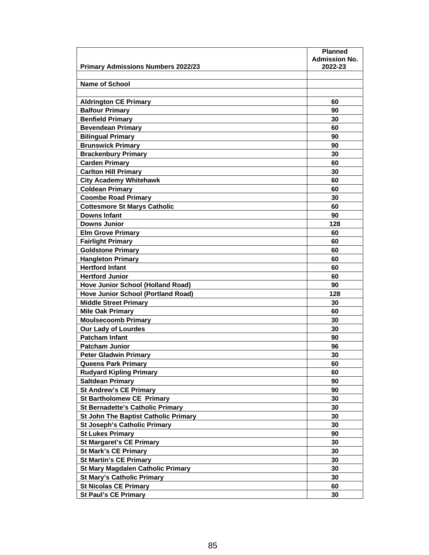|                                             | <b>Planned</b>                  |
|---------------------------------------------|---------------------------------|
|                                             | <b>Admission No.</b><br>2022-23 |
| <b>Primary Admissions Numbers 2022/23</b>   |                                 |
| <b>Name of School</b>                       |                                 |
|                                             |                                 |
| <b>Aldrington CE Primary</b>                | 60                              |
| <b>Balfour Primary</b>                      | 90                              |
| <b>Benfield Primary</b>                     | 30                              |
| <b>Bevendean Primary</b>                    | 60                              |
| <b>Bilingual Primary</b>                    | 90                              |
| <b>Brunswick Primary</b>                    | 90                              |
| <b>Brackenbury Primary</b>                  | 30                              |
| <b>Carden Primary</b>                       | 60                              |
|                                             |                                 |
| <b>Carlton Hill Primary</b>                 | 30                              |
| <b>City Academy Whitehawk</b>               | 60                              |
| <b>Coldean Primary</b>                      | 60                              |
| <b>Coombe Road Primary</b>                  | 30                              |
| <b>Cottesmore St Marys Catholic</b>         | 60                              |
| Downs Infant                                | 90                              |
| <b>Downs Junior</b>                         | 128                             |
| <b>Elm Grove Primary</b>                    | 60                              |
| <b>Fairlight Primary</b>                    | 60                              |
| <b>Goldstone Primary</b>                    | 60                              |
| <b>Hangleton Primary</b>                    | 60                              |
| <b>Hertford Infant</b>                      | 60                              |
| <b>Hertford Junior</b>                      | 60                              |
| <b>Hove Junior School (Holland Road)</b>    | 90                              |
| <b>Hove Junior School (Portland Road)</b>   | 128                             |
| <b>Middle Street Primary</b>                | 30                              |
| <b>Mile Oak Primary</b>                     | 60                              |
| <b>Moulsecoomb Primary</b>                  | 30                              |
| <b>Our Lady of Lourdes</b>                  | 30                              |
| <b>Patcham Infant</b>                       | 90                              |
| <b>Patcham Junior</b>                       | 96                              |
| <b>Peter Gladwin Primary</b>                | 30                              |
| <b>Queens Park Primary</b>                  | 60                              |
| <b>Rudyard Kipling Primary</b>              | 60                              |
| <b>Saltdean Primary</b>                     | 90                              |
| <b>St Andrew's CE Primary</b>               | 90                              |
| <b>St Bartholomew CE Primary</b>            | 30                              |
| <b>St Bernadette's Catholic Primary</b>     | 30                              |
| <b>St John The Baptist Catholic Primary</b> | 30                              |
| <b>St Joseph's Catholic Primary</b>         | 30                              |
| <b>St Lukes Primary</b>                     | 90                              |
| <b>St Margaret's CE Primary</b>             | 30                              |
| <b>St Mark's CE Primary</b>                 | 30                              |
| <b>St Martin's CE Primary</b>               | 30                              |
| <b>St Mary Magdalen Catholic Primary</b>    | 30                              |
| <b>St Mary's Catholic Primary</b>           | 30                              |
| <b>St Nicolas CE Primary</b>                | 60                              |
| <b>St Paul's CE Primary</b>                 | 30                              |